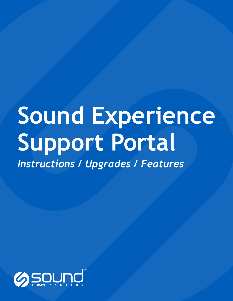# **Sound Experience Support Portal**

*Instructions / Upgrades / Features*

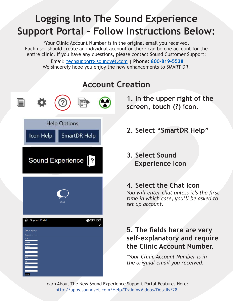### **Logging Into The Sound Experience Support Portal - Follow Instructions Below:**

\*Your Clinic Account Number is in the original email you received. Each user should create an individual account or there can be one account for the entire clinic. If you have any questions, please contact Sound Customer Support:

 Email: techsupport@soundvet.com | **Phone: 800-819-5538** We sincerely hope you enjoy the new enhancements to SMART DR.

## 圁 **Help Options** Icon Help SmartDR Help Sound Experience <sup>2</sup>  $\bigoplus$  Support Portal **g**sound Register

### **Account Creation**

**1. In the upper right of the screen, touch (?) icon.** 

- **2. Select "SmartDR Help"**
- **3. Select Sound Experience Icon**

### **4. Select the Chat Icon**

*You will enter chat unless it's the first time in which case, you'll be asked to set up account.*

### **5. The fields here are very self-explanatory and require the Clinic Account Number.**

*\*Your Clinic Account Number is in the original email you received.*

Learn About The New Sound Experience Support Portal Features Here: http://apps.soundvet.com/Help/TrainingVideos/Details/28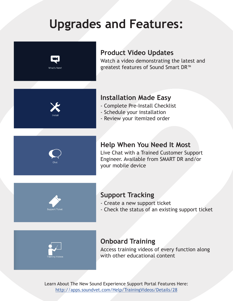### **Upgrades and Features:**



### **Product Video Updates**

Watch a video demonstrating the latest and greatest features of Sound Smart DR™

### **Installation Made Easy**

- Complete Pre-Install Checklist
- Schedule your installation
- Review your itemized order

### **Help When You Need It Most**

Live Chat with a Trained Customer Support Engineer. Available from SMART DR and/or your mobile device

#### **Support Tracking**

- Create a new support ticket
- Check the status of an existing support ticket



#### **Onboard Training**

Access training videos of every function along with other educational content

Learn About The New Sound Experience Support Portal Features Here: http://apps.soundvet.com/Help/TrainingVideos/Details/28